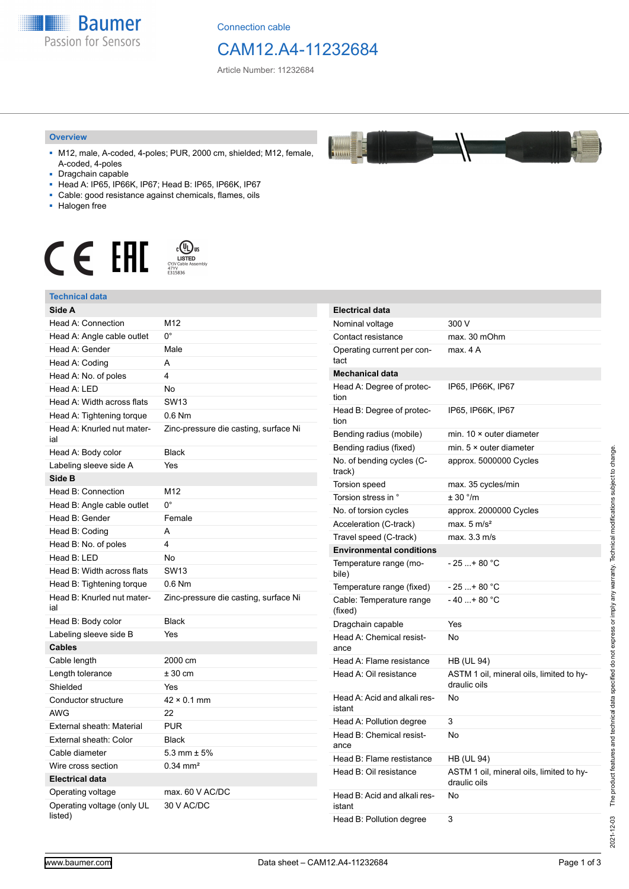

Connection cable

## CAM12.A4-11232684

T

Article Number: 11232684

#### **Overview**

- M12, male, A-coded, 4-poles; PUR, 2000 cm, shielded; M12, female, A-coded, 4-poles
- Dragchain capable
- Head A: IP65, IP66K, IP67; Head B: IP65, IP66K, IP67
- Cable: good resistance against chemicals, flames, oils
- Halogen free



#### **Technical data**

| Technical data                        |                                       |
|---------------------------------------|---------------------------------------|
| Side A                                |                                       |
| <b>Head A: Connection</b>             | M12                                   |
| Head A: Angle cable outlet            | 0°                                    |
| Head A: Gender                        | Male                                  |
| Head A: Coding                        | A                                     |
| Head A: No. of poles                  | 4                                     |
| Head A: LED                           | No                                    |
| Head A: Width across flats            | <b>SW13</b>                           |
| Head A: Tightening torque             | $0.6$ Nm                              |
| Head A: Knurled nut mater-<br>ial     | Zinc-pressure die casting, surface Ni |
| Head A: Body color                    | <b>Black</b>                          |
| Labeling sleeve side A                | Yes                                   |
| Side B                                |                                       |
| Head B: Connection                    | M12                                   |
| Head B: Angle cable outlet            | 0°                                    |
| Head B: Gender                        | Female                                |
| Head B: Coding                        | A                                     |
| Head B: No. of poles                  | 4                                     |
| Head B: LED                           | No                                    |
| Head B: Width across flats            | <b>SW13</b>                           |
| Head B: Tightening torque             | $0.6$ Nm                              |
| Head B: Knurled nut mater-<br>ial     | Zinc-pressure die casting, surface Ni |
| Head B: Body color                    | <b>Black</b>                          |
| Labeling sleeve side B                | Yes                                   |
| Cables                                |                                       |
| Cable length                          | 2000 cm                               |
| Length tolerance                      | $± 30$ cm                             |
| Shielded                              | Yes                                   |
| Conductor structure                   | $42 \times 0.1$ mm                    |
| AWG                                   | 22                                    |
| External sheath: Material             | <b>PUR</b>                            |
| External sheath: Color                | <b>Black</b>                          |
| Cable diameter                        | 5.3 mm $\pm$ 5%                       |
| Wire cross section                    | $0.34$ mm <sup>2</sup>                |
| <b>Electrical data</b>                |                                       |
| Operating voltage                     | max. 60 V AC/DC                       |
| Operating voltage (only UL<br>listed) | 30 V AC/DC                            |

| <b>Electrical data</b>                 |                                                          |
|----------------------------------------|----------------------------------------------------------|
| Nominal voltage                        | 300 V                                                    |
| Contact resistance                     | max. 30 mOhm                                             |
| Operating current per con-<br>tact     | max. 4 A                                                 |
| <b>Mechanical data</b>                 |                                                          |
| Head A: Degree of protec-<br>tion      | IP65, IP66K, IP67                                        |
| Head B: Degree of protec-<br>tion      | IP65, IP66K, IP67                                        |
| Bending radius (mobile)                | min. $10 \times$ outer diameter                          |
| Bending radius (fixed)                 | min. $5 \times$ outer diameter                           |
| No. of bending cycles (C-<br>track)    | approx. 5000000 Cycles                                   |
| <b>Torsion speed</b>                   | max. 35 cycles/min                                       |
| Torsion stress in °                    | $\pm$ 30 $\degree$ /m                                    |
| No. of torsion cycles                  | approx. 2000000 Cycles                                   |
| Acceleration (C-track)                 | max. $5 \text{ m/s}^2$                                   |
| Travel speed (C-track)                 | max. 3.3 m/s                                             |
| <b>Environmental conditions</b>        |                                                          |
| Temperature range (mo-<br>bile)        | - 25 + 80 °C                                             |
| Temperature range (fixed)              | $-25+80 °C$                                              |
| Cable: Temperature range<br>(fixed)    | $-40+80 °C$                                              |
| Dragchain capable                      | Yes                                                      |
| Head A: Chemical resist-<br>ance       | No                                                       |
| Head A: Flame resistance               | <b>HB (UL 94)</b>                                        |
| Head A: Oil resistance                 | ASTM 1 oil, mineral oils, limited to hy-<br>draulic oils |
| Head A: Acid and alkali res-<br>istant | No                                                       |
| Head A: Pollution degree               | 3                                                        |
| Head B: Chemical resist-<br>ance       | No                                                       |
| Head B: Flame restistance              | <b>HB (UL 94)</b>                                        |
| Head B: Oil resistance                 | ASTM 1 oil, mineral oils, limited to hy-<br>draulic oils |
| Head B: Acid and alkali res-<br>istant | No                                                       |
| Head B: Pollution degree               | 3                                                        |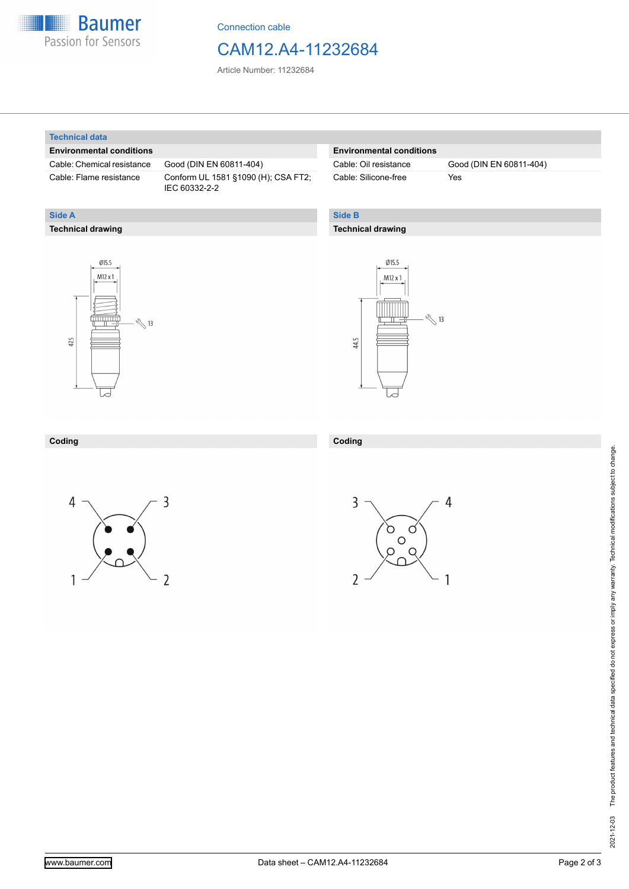

Connection cable

### CAM12.A4-11232684

Article Number: 11232684

#### **Technical data**

**Technical drawing**

**Side A**

#### **Environmental conditions**

Cable: Chemical resistance Good (DIN EN 60811-404)

Cable: Flame resistance Conform UL 1581 §1090 (H); CSA FT2; IEC 60332-2-2

#### **Environmental conditions**

Cable: Silicone-free Yes

Cable: Oil resistance Good (DIN EN 60811-404)

### **Side B**

#### **Technical drawing**





| Coding | Coding |
|--------|--------|
|        |        |